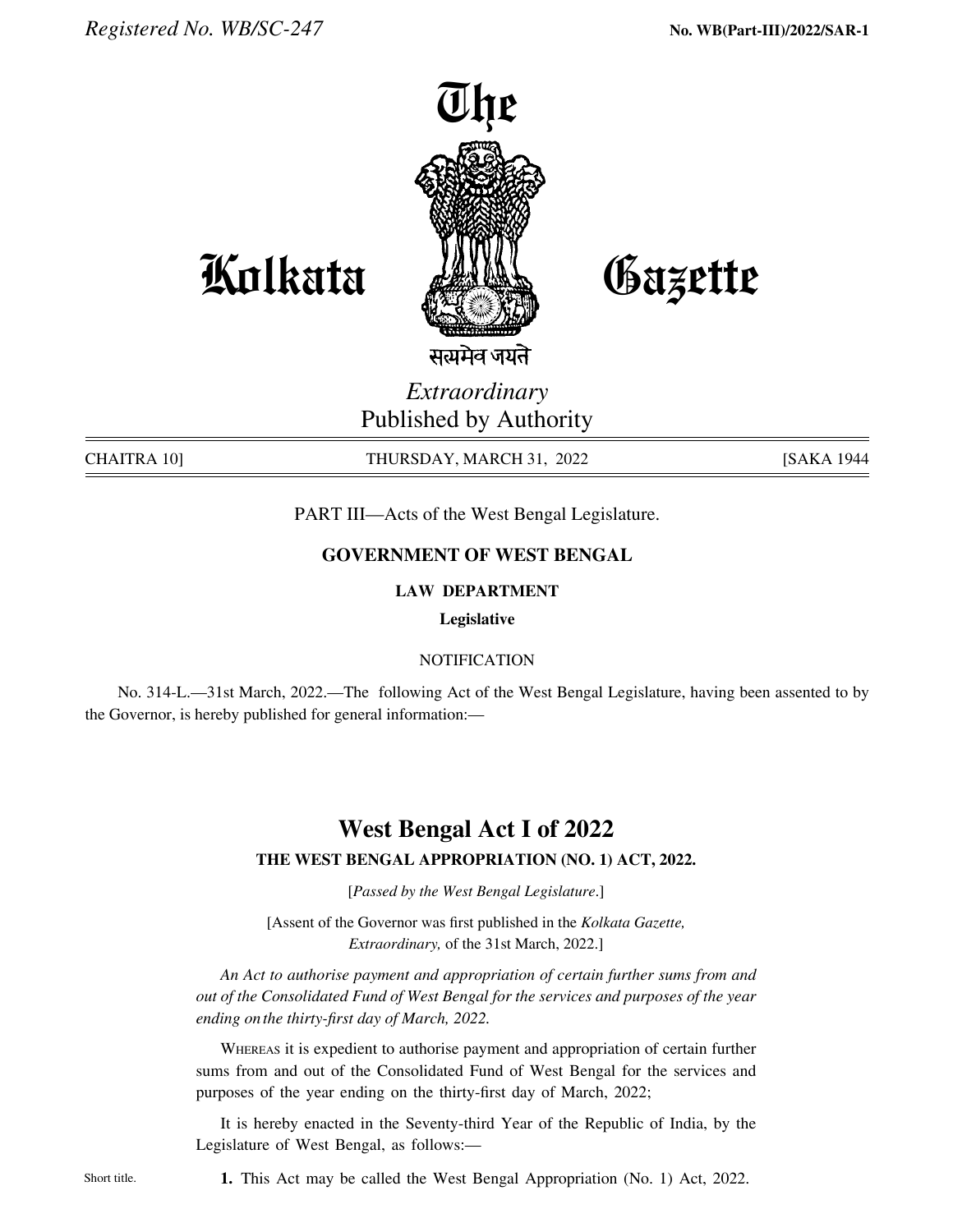

Gazette

**Kolkata** 

सत्यमेव जयते

*Extraordinary* Published by Authority

chaitra 10] THURSDAY, MARCH 31, 2022 [SAKA 1944

PART III—Acts of the West Bengal Legislature.

## **GOVERNMENT OF WEST BENGAL**

## **LAW DEPARTMENT**

**Legislative**

### **NOTIFICATION**

No. 314-L.—31st March, 2022.—The following Act of the West Bengal Legislature, having been assented to by the Governor, is hereby published for general information:—

# **West Bengal Act I of 2022**

### **THE west bengal APPROPRIATION (No. 1) ACT, 2022.**

[*Passed by the West Bengal Legislature*.]

[Assent of the Governor was first published in the *Kolkata Gazette, Extraordinary,* of the 31st March, 2022.]

 *An Act to authorise payment and appropriation of certain further sums from and out of the Consolidated Fund of West Bengal for the services and purposes of the year ending onthe thirty-first day of March, 2022.*

Whereas it is expedient to authorise payment and appropriation of certain further sums from and out of the Consolidated Fund of West Bengal for the services and purposes of the year ending on the thirty-first day of March, 2022;

It is hereby enacted in the Seventy-third Year of the Republic of India, by the Legislature of West Bengal, as follows:—

Short title. **1.** This Act may be called the West Bengal Appropriation (No. 1) Act, 2022.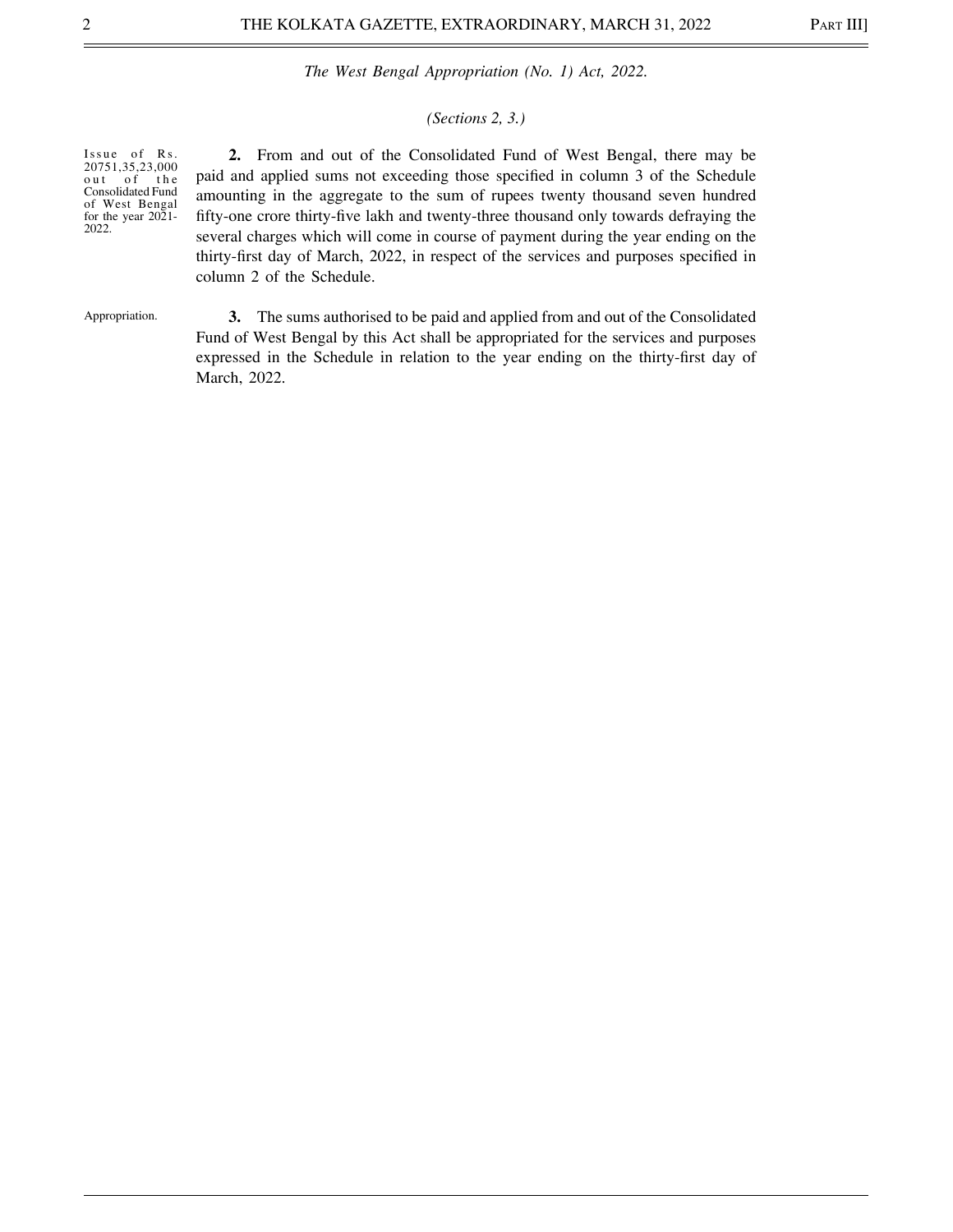#### *(Sections 2, 3.)*

Issue of Rs. 20751,35,23,000 out of the Consolidated Fund of West Bengal for the year 2021- 2022.

 **2.** From and out of the Consolidated Fund of West Bengal, there may be paid and applied sums not exceeding those specified in column 3 of the Schedule amounting in the aggregate to the sum of rupees twenty thousand seven hundred fifty-one crore thirty-five lakh and twenty-three thousand only towards defraying the several charges which will come in course of payment during the year ending on the thirty-first day of March, 2022, in respect of the services and purposes specified in column 2 of the Schedule.

Appropriation.

 **3.** The sums authorised to be paid and applied from and out of the Consolidated Fund of West Bengal by this Act shall be appropriated for the services and purposes expressed in the Schedule in relation to the year ending on the thirty-first day of March, 2022.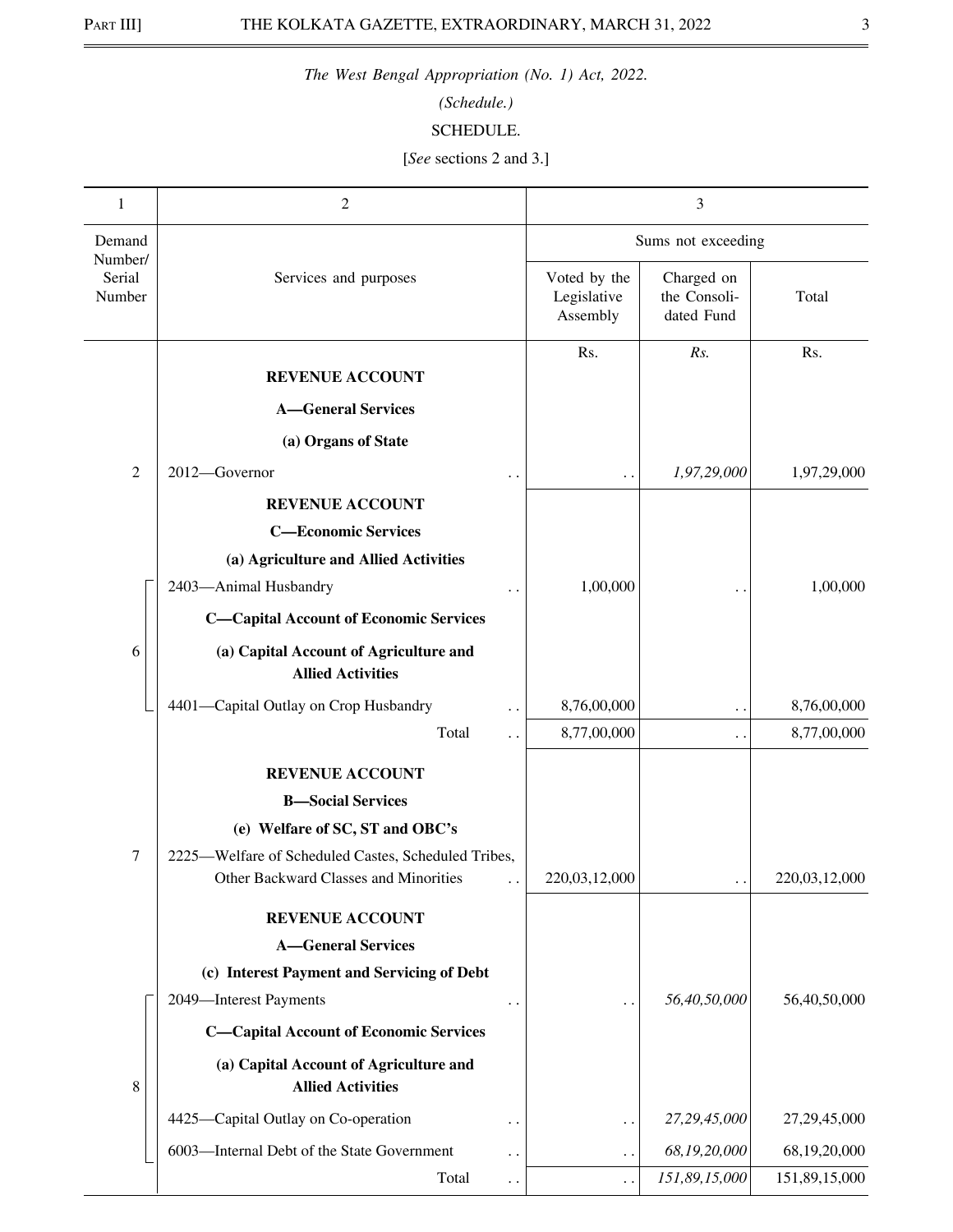*(Schedule.)*

## SCHEDULE.

[*See* sections 2 and 3.]

| 1                           | $\overline{2}$                                                                               |                        |                                         | 3                                        |               |  |
|-----------------------------|----------------------------------------------------------------------------------------------|------------------------|-----------------------------------------|------------------------------------------|---------------|--|
| Demand                      |                                                                                              |                        | Sums not exceeding                      |                                          |               |  |
| Number/<br>Serial<br>Number | Services and purposes                                                                        |                        | Voted by the<br>Legislative<br>Assembly | Charged on<br>the Consoli-<br>dated Fund | Total         |  |
|                             | <b>REVENUE ACCOUNT</b>                                                                       |                        | Rs.                                     | Rs.                                      | Rs.           |  |
|                             | <b>A</b> —General Services                                                                   |                        |                                         |                                          |               |  |
|                             | (a) Organs of State                                                                          |                        |                                         |                                          |               |  |
| 2                           | 2012-Governor                                                                                | . .                    |                                         | 1,97,29,000                              | 1,97,29,000   |  |
|                             | <b>REVENUE ACCOUNT</b>                                                                       |                        |                                         |                                          |               |  |
|                             | <b>C-Economic Services</b>                                                                   |                        |                                         |                                          |               |  |
|                             | (a) Agriculture and Allied Activities                                                        |                        |                                         |                                          |               |  |
|                             | 2403-Animal Husbandry                                                                        |                        | 1,00,000                                |                                          | 1,00,000      |  |
|                             | <b>C-Capital Account of Economic Services</b>                                                |                        |                                         |                                          |               |  |
| 6                           | (a) Capital Account of Agriculture and<br><b>Allied Activities</b>                           |                        |                                         |                                          |               |  |
|                             | 4401-Capital Outlay on Crop Husbandry                                                        | $\ddot{\phantom{0}}$   | 8,76,00,000                             | . .                                      | 8,76,00,000   |  |
|                             | Total                                                                                        | $\ddot{\phantom{0}}$   | 8,77,00,000                             | . .                                      | 8,77,00,000   |  |
|                             | <b>REVENUE ACCOUNT</b>                                                                       |                        |                                         |                                          |               |  |
|                             | <b>B-Social Services</b>                                                                     |                        |                                         |                                          |               |  |
|                             | (e) Welfare of SC, ST and OBC's                                                              |                        |                                         |                                          |               |  |
| 7                           | 2225-Welfare of Scheduled Castes, Scheduled Tribes,<br>Other Backward Classes and Minorities |                        | 220,03,12,000                           |                                          | 220,03,12,000 |  |
|                             | <b>REVENUE ACCOUNT</b>                                                                       |                        |                                         |                                          |               |  |
|                             | <b>A-General Services</b>                                                                    |                        |                                         |                                          |               |  |
|                             | (c) Interest Payment and Servicing of Debt                                                   |                        |                                         |                                          |               |  |
|                             | 2049-Interest Payments                                                                       | $\cdot$ .              | $\ddotsc$                               | 56,40,50,000                             | 56,40,50,000  |  |
|                             | <b>C-Capital Account of Economic Services</b>                                                |                        |                                         |                                          |               |  |
| 8                           | (a) Capital Account of Agriculture and<br><b>Allied Activities</b>                           |                        |                                         |                                          |               |  |
|                             | 4425—Capital Outlay on Co-operation                                                          | $\ddot{\phantom{0}}$   | $\ddot{\phantom{0}}$                    | 27,29,45,000                             | 27,29,45,000  |  |
|                             | 6003-Internal Debt of the State Government                                                   | $\ddot{\phantom{1}}$   | $\ddot{\phantom{0}}$                    | 68,19,20,000                             | 68,19,20,000  |  |
|                             | Total                                                                                        | $\ddot{\phantom{1}}$ . |                                         | 151,89,15,000                            | 151,89,15,000 |  |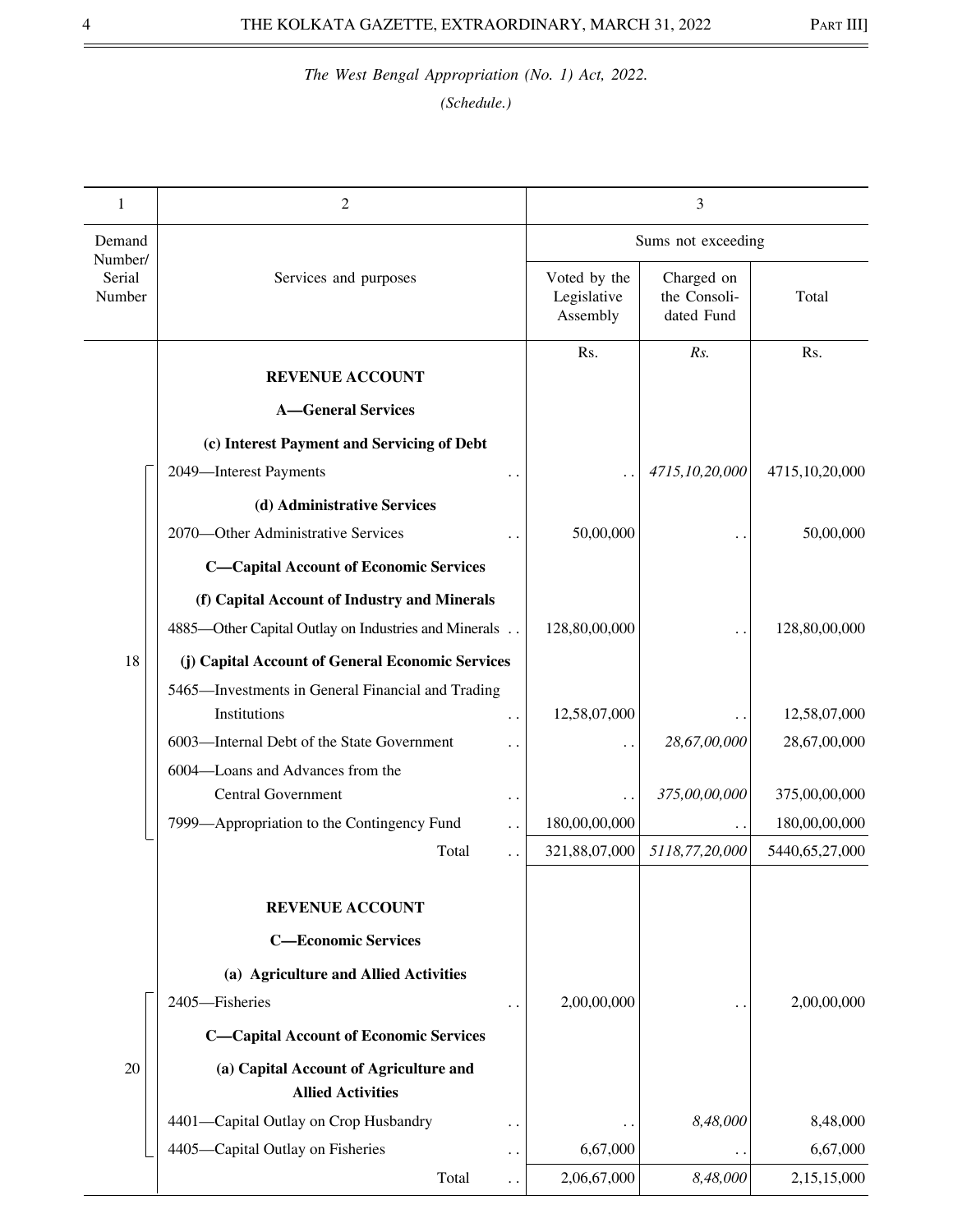| 1                 | 2                                                                  |                                         | 3                                        |                              |
|-------------------|--------------------------------------------------------------------|-----------------------------------------|------------------------------------------|------------------------------|
| Demand<br>Number/ |                                                                    | Sums not exceeding                      |                                          |                              |
| Serial<br>Number  | Services and purposes                                              | Voted by the<br>Legislative<br>Assembly | Charged on<br>the Consoli-<br>dated Fund | Total                        |
|                   | <b>REVENUE ACCOUNT</b>                                             | Rs.                                     | Rs.                                      | Rs.                          |
|                   | <b>A-General Services</b>                                          |                                         |                                          |                              |
|                   | (c) Interest Payment and Servicing of Debt                         |                                         |                                          |                              |
|                   | 2049-Interest Payments                                             |                                         | 4715,10,20,000                           | 4715,10,20,000               |
|                   | (d) Administrative Services                                        |                                         |                                          |                              |
|                   | 2070—Other Administrative Services                                 | 50,00,000                               |                                          | 50,00,000                    |
|                   | <b>C-Capital Account of Economic Services</b>                      |                                         |                                          |                              |
|                   | (f) Capital Account of Industry and Minerals                       |                                         |                                          |                              |
|                   | 4885-Other Capital Outlay on Industries and Minerals               | 128,80,00,000                           |                                          | 128,80,00,000                |
| 18                | (j) Capital Account of General Economic Services                   |                                         |                                          |                              |
|                   | 5465-Investments in General Financial and Trading                  |                                         |                                          |                              |
|                   | Institutions<br>. .<br>6003-Internal Debt of the State Government  | 12,58,07,000                            | 28,67,00,000                             | 12,58,07,000<br>28,67,00,000 |
|                   | . .<br>6004-Loans and Advances from the                            |                                         |                                          |                              |
|                   | <b>Central Government</b><br>$\ddot{\phantom{0}}$                  |                                         | 375,00,00,000                            | 375,00,00,000                |
|                   | 7999—Appropriation to the Contingency Fund                         | 180,00,00,000                           |                                          | 180,00,00,000                |
|                   | Total                                                              | 321,88,07,000                           | 5118,77,20,000                           | 5440,65,27,000               |
|                   |                                                                    |                                         |                                          |                              |
|                   | <b>REVENUE ACCOUNT</b>                                             |                                         |                                          |                              |
|                   | <b>C-Economic Services</b>                                         |                                         |                                          |                              |
|                   | (a) Agriculture and Allied Activities                              |                                         |                                          |                              |
|                   | 2405-Fisheries<br>$\ddotsc$                                        | 2,00,00,000                             |                                          | 2,00,00,000                  |
|                   | <b>C-Capital Account of Economic Services</b>                      |                                         |                                          |                              |
| 20                | (a) Capital Account of Agriculture and<br><b>Allied Activities</b> |                                         |                                          |                              |
|                   | 4401-Capital Outlay on Crop Husbandry<br>$\ddot{\phantom{0}}$      |                                         | 8,48,000                                 | 8,48,000                     |
|                   | 4405-Capital Outlay on Fisheries<br>. .                            | 6,67,000                                | $\bullet$                                | 6,67,000                     |
|                   | Total<br>$\ddot{\phantom{1}}$                                      | 2,06,67,000                             | 8,48,000                                 | 2,15,15,000                  |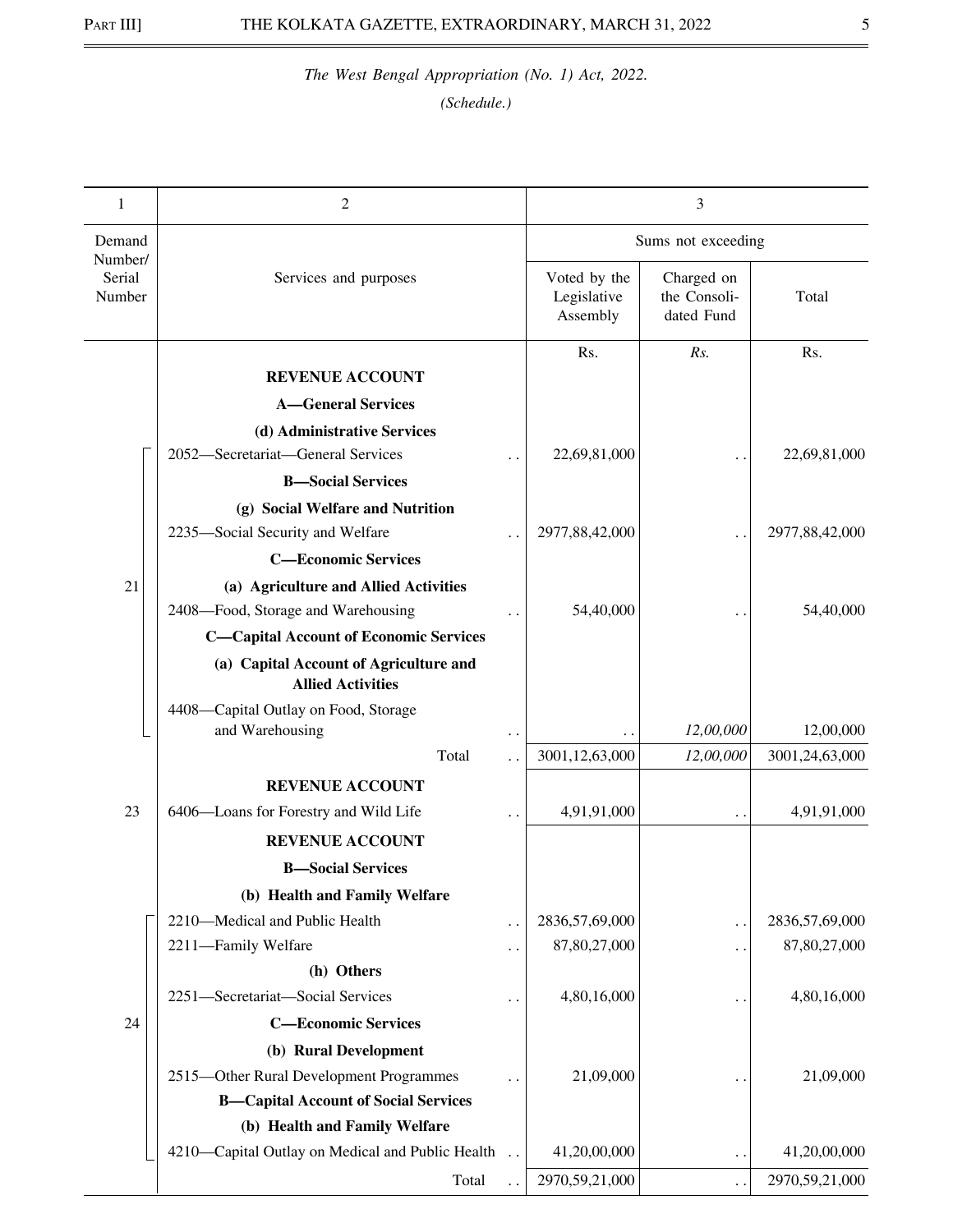| 1                           | 2                                                                           |                      |                                         | 3                                        |                |
|-----------------------------|-----------------------------------------------------------------------------|----------------------|-----------------------------------------|------------------------------------------|----------------|
| Demand                      |                                                                             |                      |                                         | Sums not exceeding                       |                |
| Number/<br>Serial<br>Number | Services and purposes                                                       |                      | Voted by the<br>Legislative<br>Assembly | Charged on<br>the Consoli-<br>dated Fund | Total          |
|                             |                                                                             |                      | Rs.                                     | Rs.                                      | Rs.            |
|                             | <b>REVENUE ACCOUNT</b>                                                      |                      |                                         |                                          |                |
|                             | <b>A-General Services</b>                                                   |                      |                                         |                                          |                |
|                             | (d) Administrative Services<br>2052-Secretariat-General Services            |                      |                                         |                                          |                |
|                             |                                                                             |                      | 22,69,81,000                            |                                          | 22,69,81,000   |
|                             | <b>B</b> -Social Services                                                   |                      |                                         |                                          |                |
|                             | (g) Social Welfare and Nutrition<br>2235-Social Security and Welfare        |                      | 2977,88,42,000                          |                                          | 2977,88,42,000 |
|                             | <b>C-Economic Services</b>                                                  |                      |                                         |                                          |                |
| 21                          |                                                                             |                      |                                         |                                          |                |
|                             | (a) Agriculture and Allied Activities<br>2408-Food, Storage and Warehousing |                      | 54,40,000                               |                                          | 54,40,000      |
|                             | <b>C-Capital Account of Economic Services</b>                               |                      |                                         |                                          |                |
|                             | (a) Capital Account of Agriculture and                                      |                      |                                         |                                          |                |
|                             | <b>Allied Activities</b>                                                    |                      |                                         |                                          |                |
|                             | 4408-Capital Outlay on Food, Storage<br>and Warehousing                     |                      |                                         | 12,00,000                                | 12,00,000      |
|                             | Total                                                                       |                      | 3001,12,63,000                          | 12,00,000                                | 3001,24,63,000 |
|                             | <b>REVENUE ACCOUNT</b>                                                      |                      |                                         |                                          |                |
| 23                          | 6406-Loans for Forestry and Wild Life                                       |                      | 4,91,91,000                             |                                          | 4,91,91,000    |
|                             | <b>REVENUE ACCOUNT</b>                                                      |                      |                                         |                                          |                |
|                             | <b>B</b> -Social Services                                                   |                      |                                         |                                          |                |
|                             | (b) Health and Family Welfare                                               |                      |                                         |                                          |                |
|                             | 2210-Medical and Public Health                                              | $\ddot{\phantom{0}}$ | 2836,57,69,000                          | $\ddot{\phantom{0}}$                     | 2836,57,69,000 |
|                             | 2211-Family Welfare                                                         | . .                  | 87,80,27,000                            | . .                                      | 87,80,27,000   |
|                             | (h) Others                                                                  |                      |                                         |                                          |                |
|                             | 2251-Secretariat-Social Services                                            |                      | 4,80,16,000                             |                                          | 4,80,16,000    |
| 24                          | <b>C-Economic Services</b>                                                  |                      |                                         |                                          |                |
|                             | (b) Rural Development                                                       |                      |                                         |                                          |                |
|                             | 2515-Other Rural Development Programmes                                     |                      | 21,09,000                               |                                          | 21,09,000      |
|                             | <b>B-Capital Account of Social Services</b>                                 |                      |                                         |                                          |                |
|                             | (b) Health and Family Welfare                                               |                      |                                         |                                          |                |
|                             | 4210—Capital Outlay on Medical and Public Health                            |                      | 41,20,00,000                            | $\ddot{\phantom{1}}$                     | 41,20,00,000   |
|                             | Total                                                                       |                      | 2970,59,21,000                          | $\ddot{\phantom{0}}$                     | 2970,59,21,000 |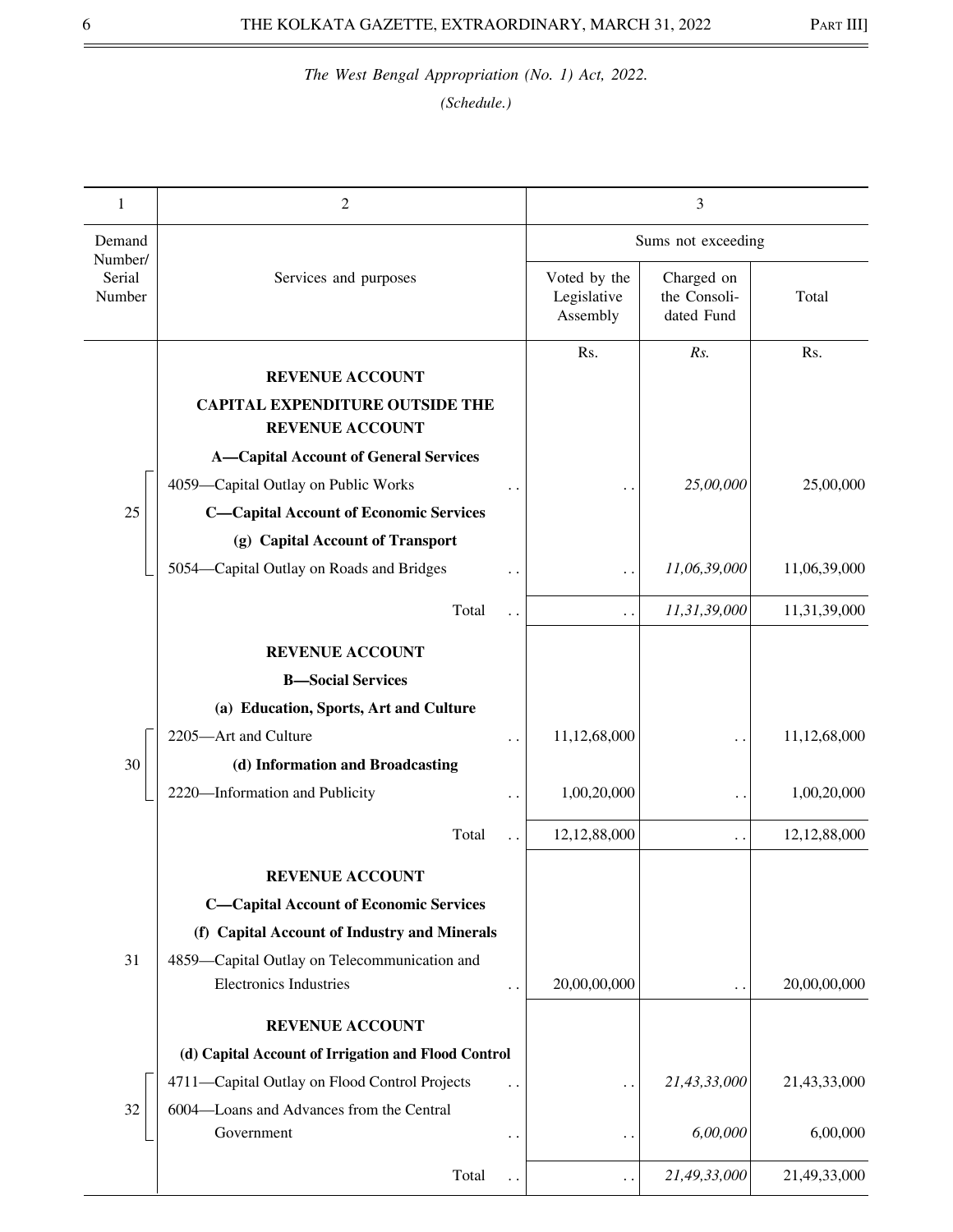| 1                           | 2                                                                             |                                         | 3                                        |              |
|-----------------------------|-------------------------------------------------------------------------------|-----------------------------------------|------------------------------------------|--------------|
| Demand                      |                                                                               |                                         | Sums not exceeding                       |              |
| Number/<br>Serial<br>Number | Services and purposes                                                         | Voted by the<br>Legislative<br>Assembly | Charged on<br>the Consoli-<br>dated Fund | Total        |
|                             | <b>REVENUE ACCOUNT</b>                                                        | Rs.                                     | Rs.                                      | Rs.          |
|                             | <b>CAPITAL EXPENDITURE OUTSIDE THE</b><br><b>REVENUE ACCOUNT</b>              |                                         |                                          |              |
|                             | <b>A-Capital Account of General Services</b>                                  |                                         |                                          |              |
|                             | 4059-Capital Outlay on Public Works                                           |                                         | 25,00,000                                | 25,00,000    |
| 25                          | <b>C-Capital Account of Economic Services</b>                                 |                                         |                                          |              |
|                             | (g) Capital Account of Transport                                              |                                         |                                          |              |
|                             | 5054-Capital Outlay on Roads and Bridges                                      |                                         | 11,06,39,000                             | 11,06,39,000 |
|                             | Total<br>$\ddot{\phantom{0}}$                                                 | $\ddot{\phantom{0}}$                    | 11,31,39,000                             | 11,31,39,000 |
|                             | <b>REVENUE ACCOUNT</b>                                                        |                                         |                                          |              |
|                             | <b>B-Social Services</b>                                                      |                                         |                                          |              |
|                             | (a) Education, Sports, Art and Culture                                        |                                         |                                          |              |
|                             | 2205-Art and Culture                                                          | 11,12,68,000                            |                                          | 11,12,68,000 |
| 30                          | (d) Information and Broadcasting                                              |                                         |                                          |              |
|                             | 2220-Information and Publicity<br>. .                                         | 1,00,20,000                             | $\ddot{\phantom{1}}$                     | 1,00,20,000  |
|                             | Total                                                                         | 12,12,88,000                            | . .                                      | 12,12,88,000 |
|                             | <b>REVENUE ACCOUNT</b>                                                        |                                         |                                          |              |
|                             | <b>C-Capital Account of Economic Services</b>                                 |                                         |                                          |              |
|                             | (f) Capital Account of Industry and Minerals                                  |                                         |                                          |              |
| 31                          | 4859-Capital Outlay on Telecommunication and<br><b>Electronics Industries</b> | 20,00,00,000                            | . .                                      | 20,00,00,000 |
|                             | <b>REVENUE ACCOUNT</b>                                                        |                                         |                                          |              |
|                             | (d) Capital Account of Irrigation and Flood Control                           |                                         |                                          |              |
|                             | 4711-Capital Outlay on Flood Control Projects<br>$\ddot{\phantom{0}}$         |                                         | 21,43,33,000                             | 21,43,33,000 |
| 32                          | 6004-Loans and Advances from the Central                                      |                                         |                                          |              |
|                             | Government<br>. .                                                             |                                         | 6,00,000                                 | 6,00,000     |
|                             | Total<br>. .                                                                  |                                         | 21,49,33,000                             | 21,49,33,000 |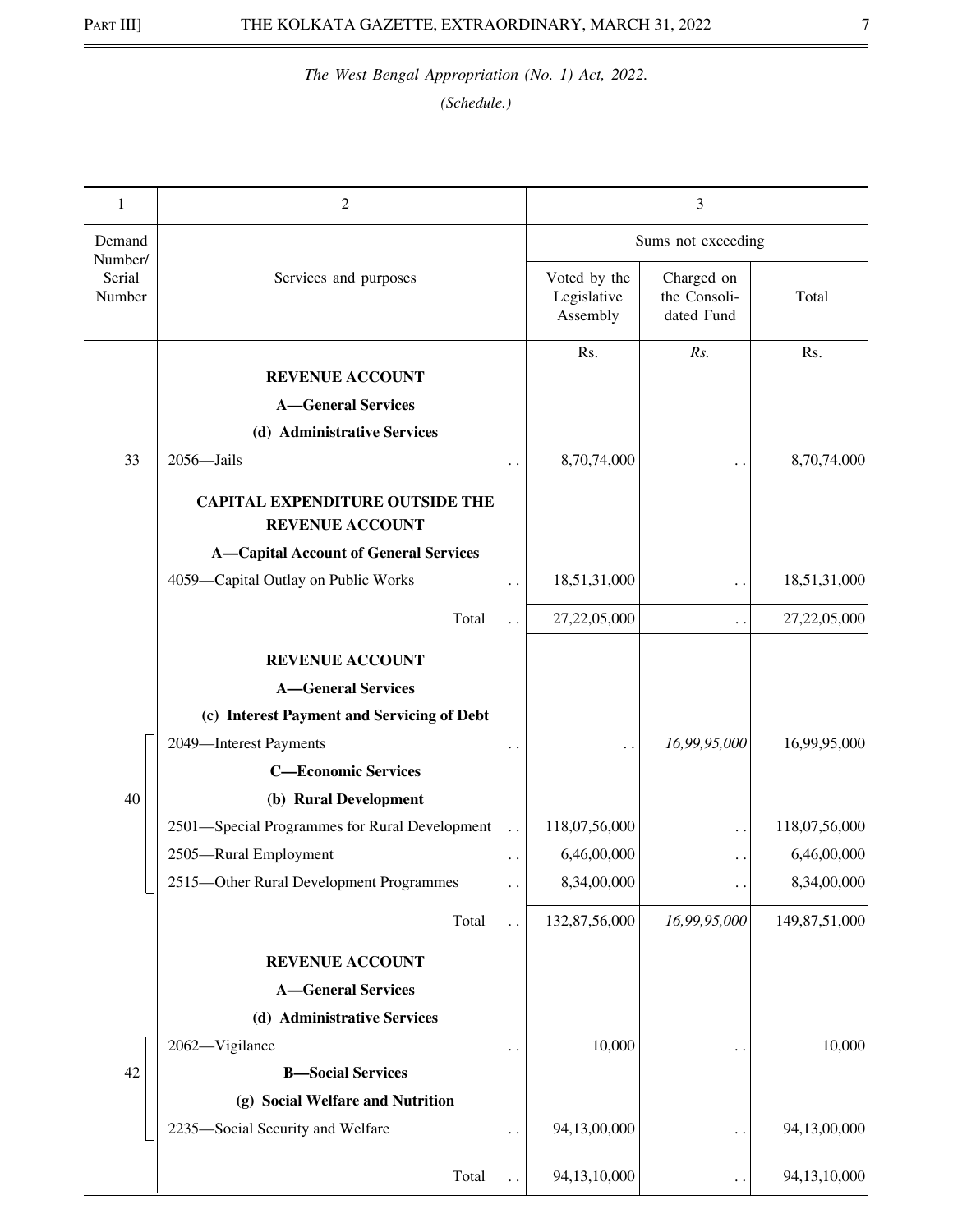| Demand<br>Sums not exceeding                                                                                                                |                 |
|---------------------------------------------------------------------------------------------------------------------------------------------|-----------------|
|                                                                                                                                             |                 |
| Number/<br>Serial<br>Voted by the<br>Charged on<br>Services and purposes<br>the Consoli-<br>Number<br>Legislative<br>dated Fund<br>Assembly | Total           |
| Rs.<br>Rs.<br><b>REVENUE ACCOUNT</b>                                                                                                        | Rs.             |
| <b>A-General Services</b>                                                                                                                   |                 |
| (d) Administrative Services                                                                                                                 |                 |
| 33<br>2056-Jails<br>8,70,74,000                                                                                                             | 8,70,74,000     |
|                                                                                                                                             |                 |
| <b>CAPITAL EXPENDITURE OUTSIDE THE</b><br><b>REVENUE ACCOUNT</b>                                                                            |                 |
| <b>A-Capital Account of General Services</b>                                                                                                |                 |
| 4059-Capital Outlay on Public Works<br>18,51,31,000<br>$\ddots$<br>$\ddot{\phantom{0}}$                                                     | 18,51,31,000    |
| Total<br>27,22,05,000<br>$\ddot{\phantom{0}}$                                                                                               | 27,22,05,000    |
| <b>REVENUE ACCOUNT</b>                                                                                                                      |                 |
| <b>A-General Services</b>                                                                                                                   |                 |
| (c) Interest Payment and Servicing of Debt                                                                                                  |                 |
| 16,99,95,000<br>2049-Interest Payments                                                                                                      | 16,99,95,000    |
| $\ddotsc$<br><b>C-Economic Services</b>                                                                                                     |                 |
| 40<br>(b) Rural Development                                                                                                                 |                 |
| 2501-Special Programmes for Rural Development<br>118,07,56,000<br>. .                                                                       | 118,07,56,000   |
| 2505-Rural Employment<br>6,46,00,000<br>$\ddot{\phantom{1}}$<br>. .                                                                         | 6,46,00,000     |
| 2515-Other Rural Development Programmes<br>8,34,00,000<br>$\ddot{\phantom{1}}$<br>$\ddot{\phantom{0}}$                                      | 8,34,00,000     |
| 132,87,56,000<br>Total<br>16,99,95,000<br>$\ddot{\phantom{0}}$                                                                              | 149,87,51,000   |
| <b>REVENUE ACCOUNT</b>                                                                                                                      |                 |
| <b>A-General Services</b>                                                                                                                   |                 |
| (d) Administrative Services                                                                                                                 |                 |
| 10,000<br>2062-Vigilance                                                                                                                    | 10,000          |
| 42<br><b>B-Social Services</b>                                                                                                              |                 |
| (g) Social Welfare and Nutrition                                                                                                            |                 |
| 2235-Social Security and Welfare<br>94,13,00,000<br>. .                                                                                     | 94,13,00,000    |
| Total<br>94,13,10,000<br>$\ddots$                                                                                                           | 94, 13, 10, 000 |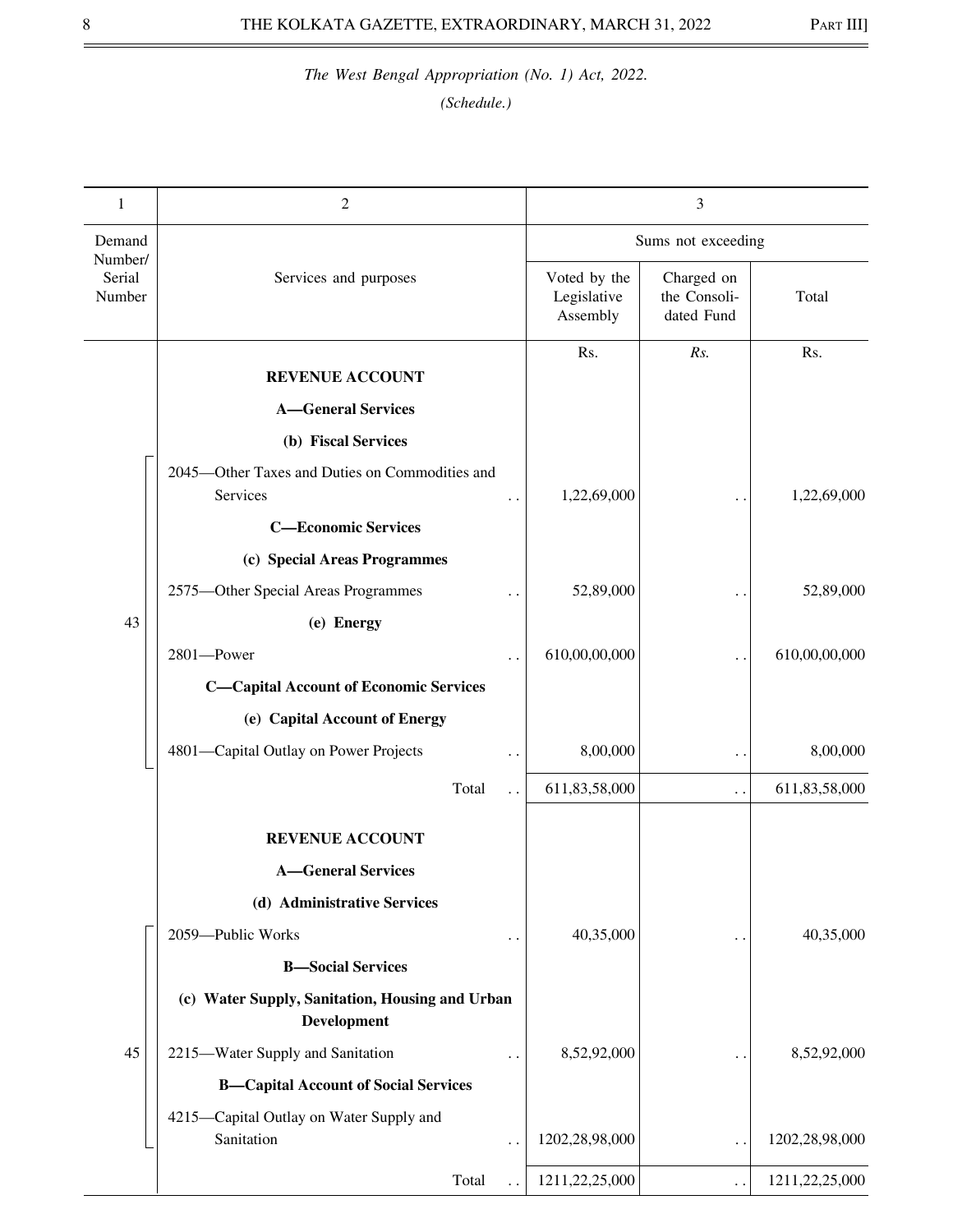| 1                           | $\mathfrak{2}$                                                        |                                         | 3                                        |                |
|-----------------------------|-----------------------------------------------------------------------|-----------------------------------------|------------------------------------------|----------------|
| Demand                      |                                                                       |                                         | Sums not exceeding                       |                |
| Number/<br>Serial<br>Number | Services and purposes                                                 | Voted by the<br>Legislative<br>Assembly | Charged on<br>the Consoli-<br>dated Fund | Total          |
|                             | <b>REVENUE ACCOUNT</b>                                                | Rs.                                     | Rs.                                      | Rs.            |
|                             | <b>A-General Services</b>                                             |                                         |                                          |                |
|                             | (b) Fiscal Services                                                   |                                         |                                          |                |
|                             | 2045-Other Taxes and Duties on Commodities and<br>Services            | 1,22,69,000                             |                                          | 1,22,69,000    |
|                             | <b>C-Economic Services</b>                                            |                                         |                                          |                |
|                             | (c) Special Areas Programmes                                          |                                         |                                          |                |
|                             | 2575-Other Special Areas Programmes                                   | 52,89,000                               |                                          | 52,89,000      |
| 43                          | (e) Energy                                                            |                                         |                                          |                |
|                             | 2801-Power                                                            | 610,00,00,000                           | . .                                      | 610,00,00,000  |
|                             | <b>C-Capital Account of Economic Services</b>                         |                                         |                                          |                |
|                             | (e) Capital Account of Energy                                         |                                         |                                          |                |
|                             | 4801-Capital Outlay on Power Projects                                 | 8,00,000                                | . .                                      | 8,00,000       |
|                             | Total<br>$\ddot{\phantom{a}}$                                         | 611,83,58,000                           | $\ddot{\phantom{0}}$                     | 611,83,58,000  |
|                             | <b>REVENUE ACCOUNT</b>                                                |                                         |                                          |                |
|                             | <b>A</b> -General Services                                            |                                         |                                          |                |
|                             | (d) Administrative Services                                           |                                         |                                          |                |
|                             | 2059-Public Works<br>$\ddotsc$                                        | 40,35,000                               |                                          | 40,35,000      |
|                             | <b>B-Social Services</b>                                              |                                         |                                          |                |
|                             | (c) Water Supply, Sanitation, Housing and Urban<br><b>Development</b> |                                         |                                          |                |
| 45                          | 2215-Water Supply and Sanitation                                      | 8,52,92,000                             |                                          | 8,52,92,000    |
|                             | <b>B-Capital Account of Social Services</b>                           |                                         |                                          |                |
|                             | 4215-Capital Outlay on Water Supply and                               |                                         |                                          |                |
|                             | Sanitation<br>$\ddot{\phantom{0}}$                                    | 1202,28,98,000                          | . .                                      | 1202,28,98,000 |
|                             | Total                                                                 | 1211,22,25,000                          |                                          | 1211,22,25,000 |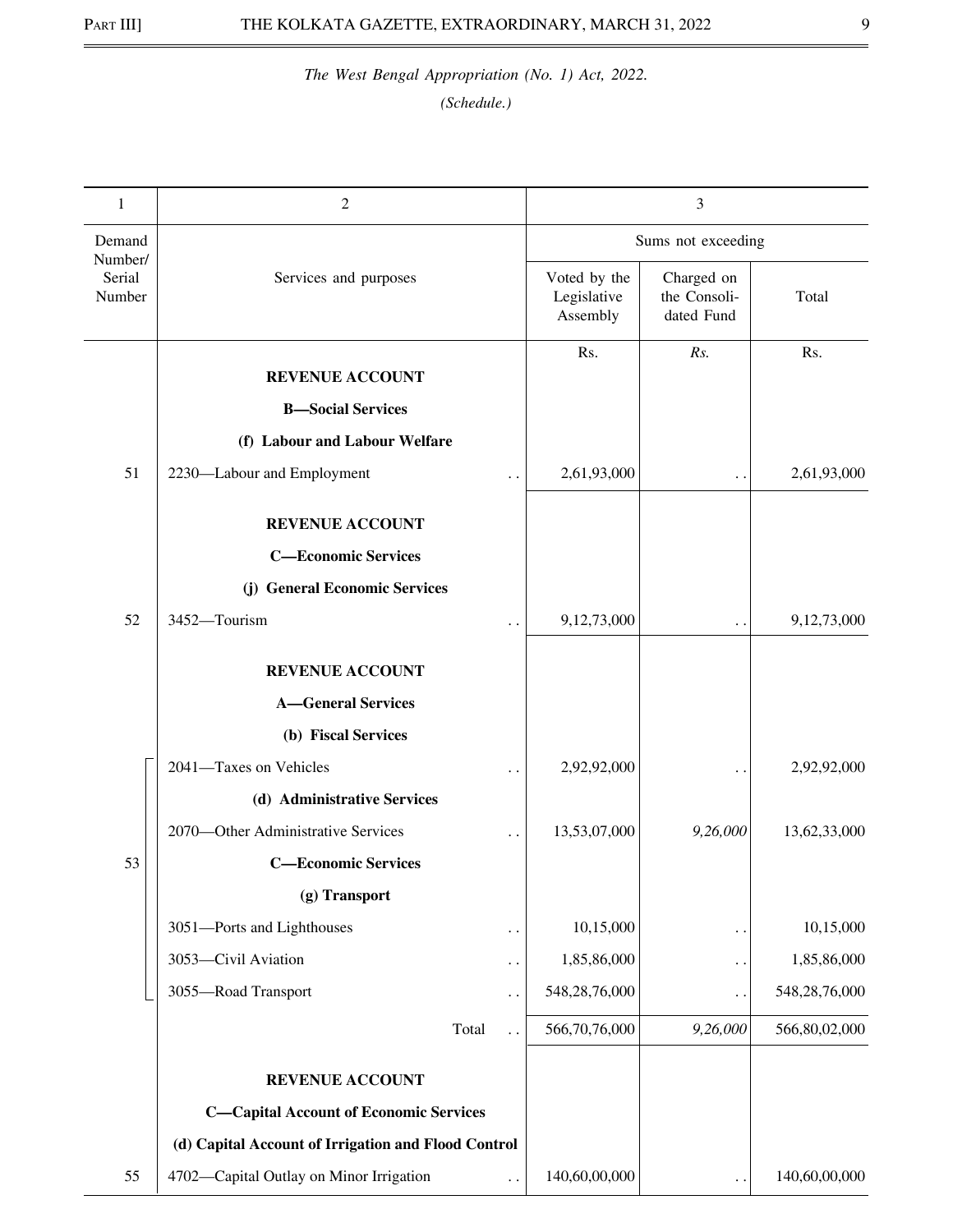| 1                           | 2                                                   |                      |                             | 3                          |               |
|-----------------------------|-----------------------------------------------------|----------------------|-----------------------------|----------------------------|---------------|
|                             |                                                     |                      |                             |                            |               |
| Demand<br>Number/<br>Serial |                                                     |                      | Sums not exceeding          |                            |               |
| Number                      | Services and purposes                               |                      | Voted by the<br>Legislative | Charged on<br>the Consoli- | Total         |
|                             |                                                     |                      | Assembly                    | dated Fund                 |               |
|                             | <b>REVENUE ACCOUNT</b>                              |                      | Rs.                         | Rs.                        | Rs.           |
|                             | <b>B</b> -Social Services                           |                      |                             |                            |               |
|                             | (f) Labour and Labour Welfare                       |                      |                             |                            |               |
| 51                          | 2230-Labour and Employment                          |                      | 2,61,93,000                 | . .                        | 2,61,93,000   |
|                             |                                                     |                      |                             |                            |               |
|                             | <b>REVENUE ACCOUNT</b>                              |                      |                             |                            |               |
|                             | <b>C-Economic Services</b>                          |                      |                             |                            |               |
|                             | (j) General Economic Services                       |                      |                             |                            |               |
| 52                          | 3452-Tourism                                        |                      | 9,12,73,000                 | . .                        | 9,12,73,000   |
|                             | <b>REVENUE ACCOUNT</b>                              |                      |                             |                            |               |
|                             | <b>A-General Services</b>                           |                      |                             |                            |               |
|                             | (b) Fiscal Services                                 |                      |                             |                            |               |
|                             | 2041-Taxes on Vehicles                              |                      | 2,92,92,000                 |                            | 2,92,92,000   |
|                             | (d) Administrative Services                         |                      |                             |                            |               |
|                             | 2070—Other Administrative Services                  | $\ddot{\phantom{0}}$ | 13,53,07,000                | 9,26,000                   | 13,62,33,000  |
| 53                          | <b>C-Economic Services</b>                          |                      |                             |                            |               |
|                             | (g) Transport                                       |                      |                             |                            |               |
|                             | 3051-Ports and Lighthouses                          |                      | 10,15,000                   | . .                        | 10,15,000     |
|                             | 3053-Civil Aviation                                 | $\ddot{\phantom{1}}$ | 1,85,86,000                 | . .                        | 1,85,86,000   |
|                             | 3055-Road Transport                                 | $\ddot{\phantom{0}}$ | 548,28,76,000               | $\ddotsc$                  | 548,28,76,000 |
|                             | Total                                               |                      | 566,70,76,000               | 9,26,000                   | 566,80,02,000 |
|                             | <b>REVENUE ACCOUNT</b>                              |                      |                             |                            |               |
|                             | <b>C-Capital Account of Economic Services</b>       |                      |                             |                            |               |
|                             | (d) Capital Account of Irrigation and Flood Control |                      |                             |                            |               |
| 55                          | 4702-Capital Outlay on Minor Irrigation             |                      | 140,60,00,000               |                            | 140,60,00,000 |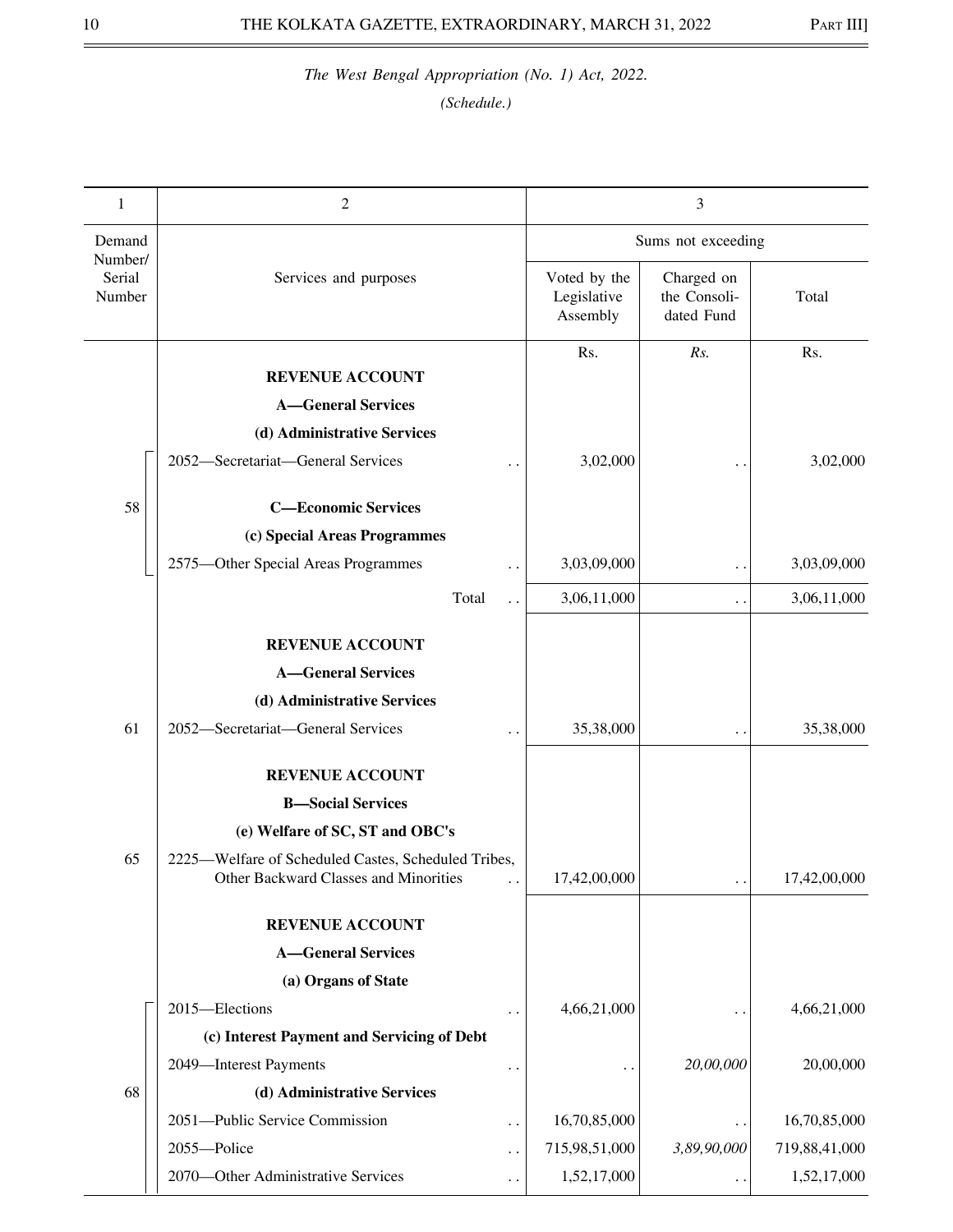| 1                           | $\overline{2}$                                                                               |                                         | 3                                        |               |
|-----------------------------|----------------------------------------------------------------------------------------------|-----------------------------------------|------------------------------------------|---------------|
| Demand                      |                                                                                              |                                         | Sums not exceeding                       |               |
| Number/<br>Serial<br>Number | Services and purposes                                                                        | Voted by the<br>Legislative<br>Assembly | Charged on<br>the Consoli-<br>dated Fund | Total         |
|                             |                                                                                              | Rs.                                     | Rs.                                      | Rs.           |
|                             | <b>REVENUE ACCOUNT</b>                                                                       |                                         |                                          |               |
|                             | <b>A-General Services</b>                                                                    |                                         |                                          |               |
|                             | (d) Administrative Services                                                                  |                                         |                                          |               |
|                             | 2052-Secretariat-General Services<br>. .                                                     | 3,02,000                                |                                          | 3,02,000      |
| 58                          | <b>C-Economic Services</b>                                                                   |                                         |                                          |               |
|                             | (c) Special Areas Programmes                                                                 |                                         |                                          |               |
|                             | 2575-Other Special Areas Programmes                                                          | 3,03,09,000                             | . .                                      | 3,03,09,000   |
|                             | Total<br>$\ddot{\phantom{0}}$                                                                | 3,06,11,000                             | . .                                      | 3,06,11,000   |
|                             | <b>REVENUE ACCOUNT</b>                                                                       |                                         |                                          |               |
|                             | <b>A-General Services</b>                                                                    |                                         |                                          |               |
|                             | (d) Administrative Services                                                                  |                                         |                                          |               |
| 61                          | 2052-Secretariat-General Services                                                            | 35,38,000                               |                                          | 35,38,000     |
|                             |                                                                                              |                                         | . .                                      |               |
|                             | <b>REVENUE ACCOUNT</b>                                                                       |                                         |                                          |               |
|                             | <b>B-Social Services</b>                                                                     |                                         |                                          |               |
|                             | (e) Welfare of SC, ST and OBC's                                                              |                                         |                                          |               |
| 65                          | 2225-Welfare of Scheduled Castes, Scheduled Tribes,<br>Other Backward Classes and Minorities | 17,42,00,000                            | . .                                      | 17,42,00,000  |
|                             | <b>REVENUE ACCOUNT</b>                                                                       |                                         |                                          |               |
|                             | <b>A-General Services</b>                                                                    |                                         |                                          |               |
|                             | (a) Organs of State                                                                          |                                         |                                          |               |
|                             | 2015-Elections                                                                               | 4,66,21,000                             |                                          | 4,66,21,000   |
|                             | (c) Interest Payment and Servicing of Debt                                                   |                                         |                                          |               |
|                             | 2049-Interest Payments<br>$\ddot{\phantom{0}}$                                               |                                         | 20,00,000                                | 20,00,000     |
| 68                          | (d) Administrative Services                                                                  |                                         |                                          |               |
|                             | 2051-Public Service Commission<br>. .                                                        | 16,70,85,000                            |                                          | 16,70,85,000  |
|                             | 2055-Police<br>$\ddot{\phantom{0}}$                                                          | 715,98,51,000                           | 3,89,90,000                              | 719,88,41,000 |
|                             | 2070-Other Administrative Services<br>$\ddot{\phantom{0}}$                                   | 1,52,17,000                             |                                          | 1,52,17,000   |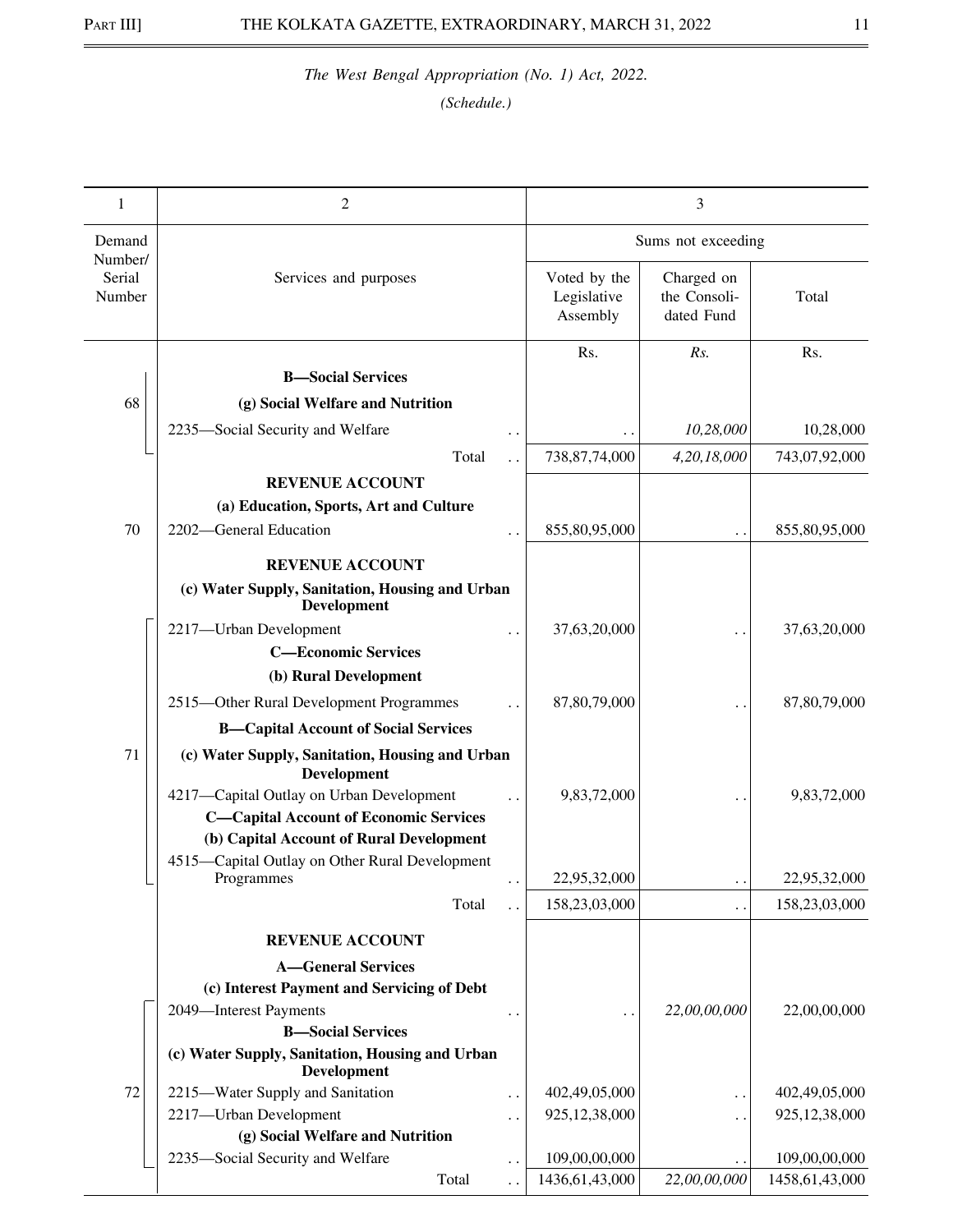| 1                 | 2                                                                       |                      |                                         | 3                                        |                   |
|-------------------|-------------------------------------------------------------------------|----------------------|-----------------------------------------|------------------------------------------|-------------------|
| Demand<br>Number/ |                                                                         | Sums not exceeding   |                                         |                                          |                   |
| Serial<br>Number  | Services and purposes                                                   |                      | Voted by the<br>Legislative<br>Assembly | Charged on<br>the Consoli-<br>dated Fund | Total             |
|                   |                                                                         |                      | Rs.                                     | Rs.                                      | Rs.               |
|                   | <b>B</b> -Social Services                                               |                      |                                         |                                          |                   |
| 68                | (g) Social Welfare and Nutrition                                        |                      |                                         |                                          |                   |
|                   | 2235-Social Security and Welfare                                        |                      |                                         | 10,28,000                                | 10,28,000         |
|                   | Total                                                                   |                      | 738, 87, 74, 000                        | 4,20,18,000                              | 743,07,92,000     |
|                   | <b>REVENUE ACCOUNT</b>                                                  |                      |                                         |                                          |                   |
|                   | (a) Education, Sports, Art and Culture                                  |                      |                                         |                                          |                   |
| 70                | 2202-General Education                                                  |                      | 855,80,95,000                           |                                          | 855,80,95,000     |
|                   | <b>REVENUE ACCOUNT</b>                                                  |                      |                                         |                                          |                   |
|                   | (c) Water Supply, Sanitation, Housing and Urban                         |                      |                                         |                                          |                   |
|                   | <b>Development</b>                                                      |                      |                                         |                                          |                   |
|                   | 2217-Urban Development                                                  |                      | 37,63,20,000                            |                                          | 37,63,20,000      |
|                   | <b>C-Economic Services</b>                                              |                      |                                         |                                          |                   |
|                   | (b) Rural Development                                                   |                      |                                         |                                          |                   |
|                   | 2515-Other Rural Development Programmes                                 |                      | 87,80,79,000                            |                                          | 87,80,79,000      |
|                   | <b>B-Capital Account of Social Services</b>                             |                      |                                         |                                          |                   |
| 71                | (c) Water Supply, Sanitation, Housing and Urban<br><b>Development</b>   |                      |                                         |                                          |                   |
|                   | 4217-Capital Outlay on Urban Development                                |                      | 9,83,72,000                             |                                          | 9,83,72,000       |
|                   | <b>C-Capital Account of Economic Services</b>                           |                      |                                         |                                          |                   |
|                   | (b) Capital Account of Rural Development                                |                      |                                         |                                          |                   |
|                   | 4515-Capital Outlay on Other Rural Development<br>Programmes            | $\ddot{\phantom{1}}$ | 22,95,32,000                            | $\ddotsc$                                | 22,95,32,000      |
|                   | Total                                                                   |                      | 158,23,03,000                           | $\ddot{\phantom{0}}$                     | 158,23,03,000     |
|                   |                                                                         |                      |                                         |                                          |                   |
|                   | <b>REVENUE ACCOUNT</b>                                                  |                      |                                         |                                          |                   |
|                   | <b>A-General Services</b><br>(c) Interest Payment and Servicing of Debt |                      |                                         |                                          |                   |
|                   | 2049-Interest Payments                                                  |                      |                                         | 22,00,00,000                             | 22,00,00,000      |
|                   | <b>B-Social Services</b>                                                |                      |                                         |                                          |                   |
|                   | (c) Water Supply, Sanitation, Housing and Urban<br><b>Development</b>   |                      |                                         |                                          |                   |
| 72                | 2215-Water Supply and Sanitation                                        | $\ddotsc$            | 402,49,05,000                           | . .                                      | 402,49,05,000     |
|                   | 2217-Urban Development                                                  | . .                  | 925, 12, 38, 000                        | . .                                      | 925,12,38,000     |
|                   | (g) Social Welfare and Nutrition                                        |                      |                                         |                                          |                   |
|                   | 2235-Social Security and Welfare                                        | $\ddotsc$            | 109,00,00,000                           |                                          | 109,00,00,000     |
|                   | Total                                                                   |                      | 1436, 61, 43, 000                       | 22,00,00,000                             | 1458, 61, 43, 000 |